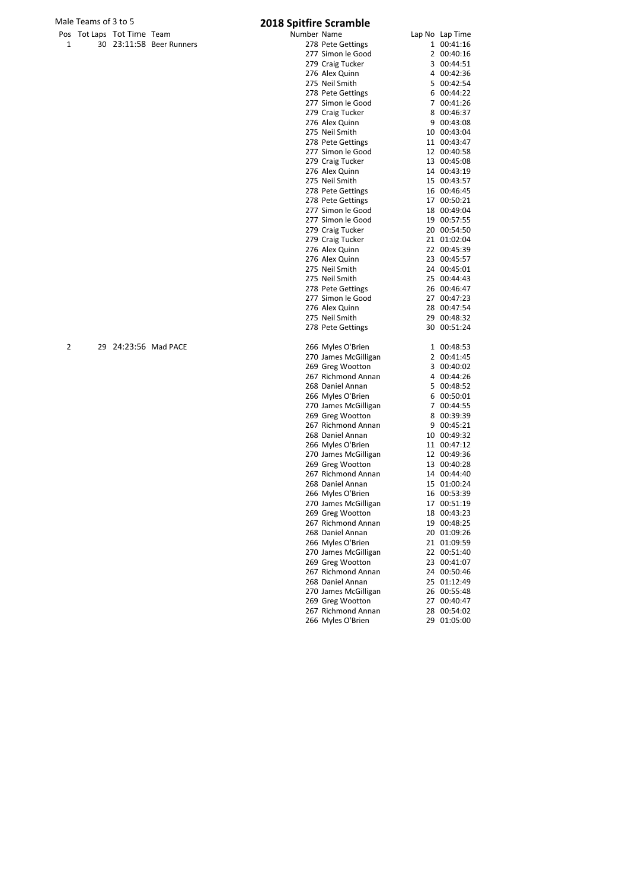# Male Teams of 3 to 5<br>
Pos Tot Laps Tot Time Team **2018 Spitfire Scramble**<br>
Number Name

|   | Pos Tot Laps Tot Time Team |                          | Number Name |                      | Lap No Lap Time |
|---|----------------------------|--------------------------|-------------|----------------------|-----------------|
| 1 |                            | 30 23:11:58 Beer Runners |             | 278 Pete Gettings    | 1 00:41:16      |
|   |                            |                          |             | 277 Simon le Good    | 2 00:40:16      |
|   |                            |                          |             | 279 Craig Tucker     | 3 00:44:51      |
|   |                            |                          |             | 276 Alex Quinn       | 4 00:42:36      |
|   |                            |                          |             | 275 Neil Smith       | 5 00:42:54      |
|   |                            |                          |             | 278 Pete Gettings    | 6 00:44:22      |
|   |                            |                          |             |                      |                 |
|   |                            |                          |             | 277 Simon le Good    | 7 00:41:26      |
|   |                            |                          |             | 279 Craig Tucker     | 8 00:46:37      |
|   |                            |                          |             | 276 Alex Quinn       | 9 00:43:08      |
|   |                            |                          |             | 275 Neil Smith       | 10 00:43:04     |
|   |                            |                          |             | 278 Pete Gettings    | 11 00:43:47     |
|   |                            |                          |             | 277 Simon le Good    | 12 00:40:58     |
|   |                            |                          |             | 279 Craig Tucker     | 13 00:45:08     |
|   |                            |                          |             | 276 Alex Quinn       | 14 00:43:19     |
|   |                            |                          |             | 275 Neil Smith       | 15 00:43:57     |
|   |                            |                          |             | 278 Pete Gettings    | 16 00:46:45     |
|   |                            |                          |             | 278 Pete Gettings    | 17 00:50:21     |
|   |                            |                          |             | 277 Simon le Good    | 18 00:49:04     |
|   |                            |                          |             | 277 Simon le Good    | 19 00:57:55     |
|   |                            |                          |             |                      | 20 00:54:50     |
|   |                            |                          |             | 279 Craig Tucker     |                 |
|   |                            |                          |             | 279 Craig Tucker     | 21 01:02:04     |
|   |                            |                          |             | 276 Alex Quinn       | 22 00:45:39     |
|   |                            |                          |             | 276 Alex Quinn       | 23 00:45:57     |
|   |                            |                          |             | 275 Neil Smith       | 24 00:45:01     |
|   |                            |                          |             | 275 Neil Smith       | 25 00:44:43     |
|   |                            |                          |             | 278 Pete Gettings    | 26 00:46:47     |
|   |                            |                          |             | 277 Simon le Good    | 27 00:47:23     |
|   |                            |                          |             | 276 Alex Quinn       | 28 00:47:54     |
|   |                            |                          |             | 275 Neil Smith       | 29 00:48:32     |
|   |                            |                          |             | 278 Pete Gettings    | 30 00:51:24     |
| 2 | 29 24:23:56 Mad PACE       |                          |             | 266 Myles O'Brien    | 1 00:48:53      |
|   |                            |                          |             | 270 James McGilligan | 2 00:41:45      |
|   |                            |                          |             | 269 Greg Wootton     | 3 00:40:02      |
|   |                            |                          |             | 267 Richmond Annan   | 4 00:44:26      |
|   |                            |                          |             | 268 Daniel Annan     | 5 00:48:52      |
|   |                            |                          |             |                      | 6 00:50:01      |
|   |                            |                          |             | 266 Myles O'Brien    |                 |
|   |                            |                          |             | 270 James McGilligan | 7 00:44:55      |
|   |                            |                          |             | 269 Greg Wootton     | 8 00:39:39      |
|   |                            |                          |             | 267 Richmond Annan   | 9 00:45:21      |
|   |                            |                          |             | 268 Daniel Annan     | 10 00:49:32     |
|   |                            |                          |             | 266 Myles O'Brien    | 11 00:47:12     |
|   |                            |                          |             | 270 James McGilligan | 12 00:49:36     |
|   |                            |                          |             | 269 Greg Wootton     | 13 00:40:28     |
|   |                            |                          |             | 267 Richmond Annan   | 14 00:44:40     |
|   |                            |                          |             | 268 Daniel Annan     | 15 01:00:24     |
|   |                            |                          |             | 266 Myles O'Brien    | 16 00:53:39     |
|   |                            |                          |             | 270 James McGilligan | 17 00:51:19     |
|   |                            |                          |             | 269 Greg Wootton     | 18 00:43:23     |
|   |                            |                          |             | 267 Richmond Annan   | 19 00:48:25     |
|   |                            |                          |             | 268 Daniel Annan     | 20 01:09:26     |
|   |                            |                          |             |                      | 21 01:09:59     |
|   |                            |                          |             | 266 Myles O'Brien    |                 |
|   |                            |                          |             | 270 James McGilligan | 22 00:51:40     |
|   |                            |                          |             | 269 Greg Wootton     | 23 00:41:07     |
|   |                            |                          |             | 267 Richmond Annan   | 24 00:50:46     |
|   |                            |                          |             | 268 Daniel Annan     | 25 01:12:49     |
|   |                            |                          |             | 270 James McGilligan | 26 00:55:48     |
|   |                            |                          |             | 269 Greg Wootton     | 27 00:40:47     |
|   |                            |                          |             | 267 Richmond Annan   | 28 00:54:02     |
|   |                            |                          |             | 266 Myles O'Brien    | 29 01:05:00     |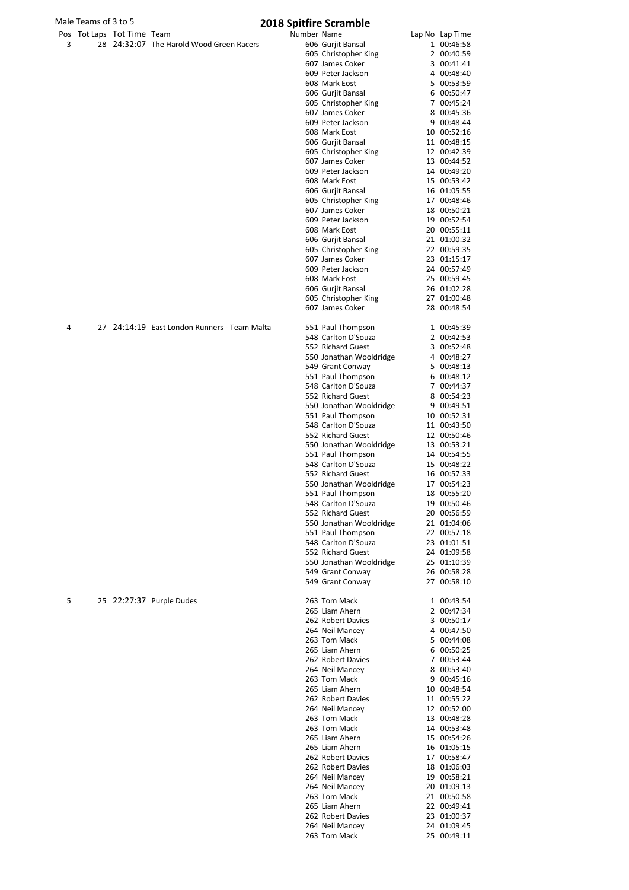|   | Male Teams of 3 to 5 |                            |                                              |             | <b>2018 Spitfire Scramble</b>               |                            |
|---|----------------------|----------------------------|----------------------------------------------|-------------|---------------------------------------------|----------------------------|
|   |                      | Pos Tot Laps Tot Time Team |                                              | Number Name |                                             | Lap No Lap Time            |
| 3 |                      |                            | 28 24:32:07 The Harold Wood Green Racers     |             | 606 Gurjit Bansal                           | 1 00:46:58                 |
|   |                      |                            |                                              |             | 605 Christopher King<br>607 James Coker     | 2 00:40:59<br>3 00:41:41   |
|   |                      |                            |                                              |             | 609 Peter Jackson                           | 4 00:48:40                 |
|   |                      |                            |                                              |             | 608 Mark Eost                               | 5 00:53:59                 |
|   |                      |                            |                                              |             | 606 Gurjit Bansal                           | 6 00:50:47                 |
|   |                      |                            |                                              |             | 605 Christopher King                        | 7 00:45:24                 |
|   |                      |                            |                                              |             | 607 James Coker                             | 8 00:45:36                 |
|   |                      |                            |                                              |             | 609 Peter Jackson<br>608 Mark Eost          | 9 00:48:44<br>10 00:52:16  |
|   |                      |                            |                                              |             | 606 Gurjit Bansal                           | 11 00:48:15                |
|   |                      |                            |                                              |             | 605 Christopher King                        | 12 00:42:39                |
|   |                      |                            |                                              |             | 607 James Coker                             | 13 00:44:52                |
|   |                      |                            |                                              |             | 609 Peter Jackson                           | 14 00:49:20                |
|   |                      |                            |                                              |             | 608 Mark Eost                               | 15 00:53:42                |
|   |                      |                            |                                              |             | 606 Gurjit Bansal<br>605 Christopher King   | 16 01:05:55<br>17 00:48:46 |
|   |                      |                            |                                              |             | 607 James Coker                             | 18 00:50:21                |
|   |                      |                            |                                              |             | 609 Peter Jackson                           | 19 00:52:54                |
|   |                      |                            |                                              |             | 608 Mark Eost                               | 20 00:55:11                |
|   |                      |                            |                                              |             | 606 Gurjit Bansal                           | 21 01:00:32                |
|   |                      |                            |                                              |             | 605 Christopher King                        | 22 00:59:35                |
|   |                      |                            |                                              |             | 607 James Coker                             | 23 01:15:17                |
|   |                      |                            |                                              |             | 609 Peter Jackson<br>608 Mark Eost          | 24 00:57:49<br>25 00:59:45 |
|   |                      |                            |                                              |             | 606 Gurjit Bansal                           | 26 01:02:28                |
|   |                      |                            |                                              |             | 605 Christopher King                        | 27 01:00:48                |
|   |                      |                            |                                              |             | 607 James Coker                             | 28 00:48:54                |
| 4 |                      |                            | 27 24:14:19 East London Runners - Team Malta |             | 551 Paul Thompson                           | 1 00:45:39                 |
|   |                      |                            |                                              |             | 548 Carlton D'Souza                         | 2 00:42:53                 |
|   |                      |                            |                                              |             | 552 Richard Guest                           | 3 00:52:48                 |
|   |                      |                            |                                              |             | 550 Jonathan Wooldridge<br>549 Grant Conway | 4 00:48:27<br>5 00:48:13   |
|   |                      |                            |                                              |             | 551 Paul Thompson                           | 6 00:48:12                 |
|   |                      |                            |                                              |             | 548 Carlton D'Souza                         | 7 00:44:37                 |
|   |                      |                            |                                              |             | 552 Richard Guest                           | 8 00:54:23                 |
|   |                      |                            |                                              |             | 550 Jonathan Wooldridge                     | 9 00:49:51                 |
|   |                      |                            |                                              |             | 551 Paul Thompson                           | 10 00:52:31                |
|   |                      |                            |                                              |             | 548 Carlton D'Souza<br>552 Richard Guest    | 11 00:43:50<br>12 00:50:46 |
|   |                      |                            |                                              |             | 550 Jonathan Wooldridge                     | 13 00:53:21                |
|   |                      |                            |                                              |             | 551 Paul Thompson                           | 14 00:54:55                |
|   |                      |                            |                                              |             | 548 Carlton D'Souza                         | 15 00:48:22                |
|   |                      |                            |                                              |             | 552 Richard Guest                           | 16 00:57:33                |
|   |                      |                            |                                              |             | 550 Jonathan Wooldridge                     | 17 00:54:23                |
|   |                      |                            |                                              |             | 551 Paul Thompson<br>548 Carlton D'Souza    | 18 00:55:20                |
|   |                      |                            |                                              |             | 552 Richard Guest                           | 19 00:50:46<br>20 00:56:59 |
|   |                      |                            |                                              |             | 550 Jonathan Wooldridge                     | 21 01:04:06                |
|   |                      |                            |                                              |             | 551 Paul Thompson                           | 22 00:57:18                |
|   |                      |                            |                                              |             | 548 Carlton D'Souza                         | 23 01:01:51                |
|   |                      |                            |                                              |             | 552 Richard Guest                           | 24 01:09:58                |
|   |                      |                            |                                              |             | 550 Jonathan Wooldridge                     | 25 01:10:39                |
|   |                      |                            |                                              |             | 549 Grant Conway<br>549 Grant Conway        | 26 00:58:28<br>27 00:58:10 |
| 5 |                      |                            | 25 22:27:37 Purple Dudes                     |             | 263 Tom Mack                                | 1 00:43:54                 |
|   |                      |                            |                                              |             | 265 Liam Ahern                              | 2 00:47:34                 |
|   |                      |                            |                                              |             | 262 Robert Davies                           | 3 00:50:17                 |
|   |                      |                            |                                              |             | 264 Neil Mancey                             | 4 00:47:50                 |
|   |                      |                            |                                              |             | 263 Tom Mack<br>265 Liam Ahern              | 5 00:44:08<br>6 00:50:25   |
|   |                      |                            |                                              |             | 262 Robert Davies                           | 7 00:53:44                 |
|   |                      |                            |                                              |             | 264 Neil Mancey                             | 8 00:53:40                 |
|   |                      |                            |                                              |             | 263 Tom Mack                                | 9 00:45:16                 |
|   |                      |                            |                                              |             | 265 Liam Ahern                              | 10 00:48:54                |
|   |                      |                            |                                              |             | 262 Robert Davies                           | 11 00:55:22                |
|   |                      |                            |                                              |             | 264 Neil Mancey                             | 12 00:52:00                |
|   |                      |                            |                                              |             | 263 Tom Mack<br>263 Tom Mack                | 13 00:48:28<br>14 00:53:48 |
|   |                      |                            |                                              |             | 265 Liam Aborn                              | 15.005136                  |

550 Jonathan Wooldridge 17 00:54:23 18 00:55:20 19 00:50:46  $0.00:56:59$  $21 \t01:04:06$ 22 00:57:18 13 01:01:51  $2401:09:58$ 25 01:10:39  $60:58:28$ 7 00:58:10 2 00:47:34 3  $00:50:17$ 4 00:47:50 5 00:44:08 6 00:50:25 7 00:53:44 8 00:53:40 9 00:45:16  $0\quad 00:48:54$ 21 00:55:22 2 00:52:00 23 00:48:28 14 00:53:48<br>15 00:54:26 265 Liam Ahern 15 00:54:26 265 Liam Ahern 16 01:05:15<br>262 Robert Davies 17 00:58:47 262 Robert Davies 17 00:58:47<br>262 Robert Davies 18 01:06:03 262 Robert Davies 18 01:06:03<br>264 Neil Mancey 19 00:58:21 264 Neil Mancey 19 00:58:21 264 Neil Mancey 20 01:09:13<br>263 Tom Mack 21 00:50:58 263 Tom Mack 21 00:50:58<br>265 Liam Ahern 22 00:49:41 265 Liam Ahern 22 00:49:41<br>262 Robert Davies 23 01:00:37 262 Robert Davies 23 01:00:37<br>264 Neil Mancey 24 01:09:45 264 Neil Mancey 24 01:09:45<br>263 Tom Mack 25 00:49:11

263 Tom Mack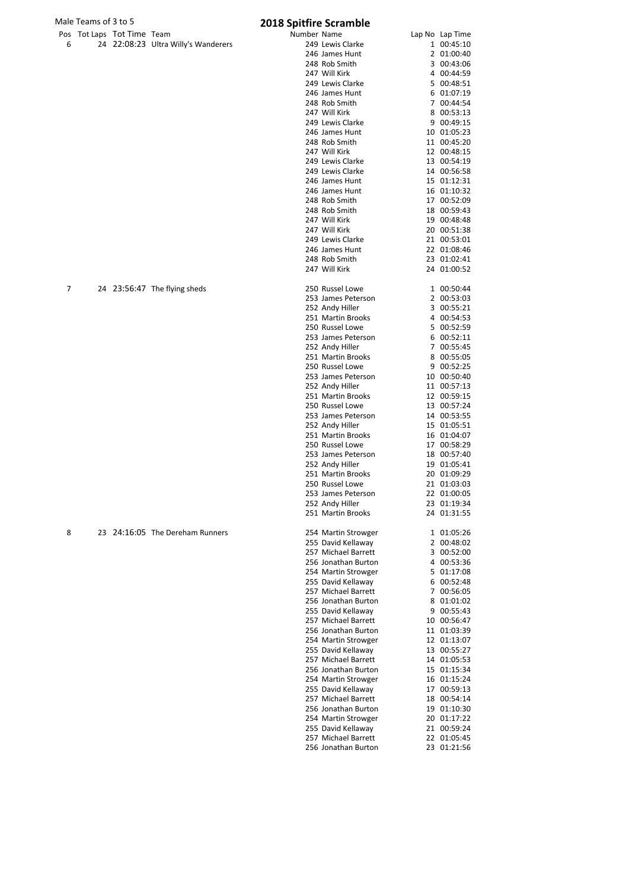|   | Male Teams of 3 to 5 |                            |                                     | <b>2018 Spitfire Scramble</b> |                     |                 |
|---|----------------------|----------------------------|-------------------------------------|-------------------------------|---------------------|-----------------|
|   |                      | Pos Tot Laps Tot Time Team |                                     | Number Name                   |                     | Lap No Lap Time |
| 6 |                      |                            | 24 22:08:23 Ultra Willy's Wanderers |                               | 249 Lewis Clarke    | 1 00:45:10      |
|   |                      |                            |                                     |                               | 246 James Hunt      | 2 01:00:40      |
|   |                      |                            |                                     |                               | 248 Rob Smith       | 3 00:43:06      |
|   |                      |                            |                                     |                               | 247 Will Kirk       | 4 00:44:59      |
|   |                      |                            |                                     |                               | 249 Lewis Clarke    | 5 00:48:51      |
|   |                      |                            |                                     |                               | 246 James Hunt      | 6 01:07:19      |
|   |                      |                            |                                     |                               | 248 Rob Smith       | 7 00:44:54      |
|   |                      |                            |                                     |                               |                     |                 |
|   |                      |                            |                                     |                               | 247 Will Kirk       | 8 00:53:13      |
|   |                      |                            |                                     |                               | 249 Lewis Clarke    | 9 00:49:15      |
|   |                      |                            |                                     |                               | 246 James Hunt      | 10 01:05:23     |
|   |                      |                            |                                     |                               | 248 Rob Smith       | 11 00:45:20     |
|   |                      |                            |                                     |                               | 247 Will Kirk       | 12 00:48:15     |
|   |                      |                            |                                     |                               | 249 Lewis Clarke    | 13 00:54:19     |
|   |                      |                            |                                     |                               | 249 Lewis Clarke    | 14 00:56:58     |
|   |                      |                            |                                     |                               | 246 James Hunt      | 15 01:12:31     |
|   |                      |                            |                                     |                               | 246 James Hunt      | 16 01:10:32     |
|   |                      |                            |                                     |                               | 248 Rob Smith       | 17 00:52:09     |
|   |                      |                            |                                     |                               | 248 Rob Smith       | 18 00:59:43     |
|   |                      |                            |                                     |                               | 247 Will Kirk       | 19 00:48:48     |
|   |                      |                            |                                     |                               | 247 Will Kirk       | 20 00:51:38     |
|   |                      |                            |                                     |                               | 249 Lewis Clarke    | 21 00:53:01     |
|   |                      |                            |                                     |                               | 246 James Hunt      | 22 01:08:46     |
|   |                      |                            |                                     |                               | 248 Rob Smith       | 23 01:02:41     |
|   |                      |                            |                                     |                               | 247 Will Kirk       | 24 01:00:52     |
| 7 |                      |                            | 24 23:56:47 The flying sheds        |                               | 250 Russel Lowe     | 1 00:50:44      |
|   |                      |                            |                                     |                               | 253 James Peterson  | 2 00:53:03      |
|   |                      |                            |                                     |                               |                     | 3 00:55:21      |
|   |                      |                            |                                     |                               | 252 Andy Hiller     |                 |
|   |                      |                            |                                     |                               | 251 Martin Brooks   | 4 00:54:53      |
|   |                      |                            |                                     |                               | 250 Russel Lowe     | 5 00:52:59      |
|   |                      |                            |                                     |                               | 253 James Peterson  | 6 00:52:11      |
|   |                      |                            |                                     |                               | 252 Andy Hiller     | 7 00:55:45      |
|   |                      |                            |                                     |                               | 251 Martin Brooks   | 8 00:55:05      |
|   |                      |                            |                                     |                               | 250 Russel Lowe     | 9 00:52:25      |
|   |                      |                            |                                     |                               | 253 James Peterson  | 10 00:50:40     |
|   |                      |                            |                                     |                               | 252 Andy Hiller     | 11 00:57:13     |
|   |                      |                            |                                     |                               | 251 Martin Brooks   | 12 00:59:15     |
|   |                      |                            |                                     |                               | 250 Russel Lowe     | 13 00:57:24     |
|   |                      |                            |                                     |                               | 253 James Peterson  | 14 00:53:55     |
|   |                      |                            |                                     |                               | 252 Andy Hiller     | 15 01:05:51     |
|   |                      |                            |                                     |                               | 251 Martin Brooks   | 16 01:04:07     |
|   |                      |                            |                                     |                               | 250 Russel Lowe     | 17 00:58:29     |
|   |                      |                            |                                     |                               | 253 James Peterson  | 18 00:57:40     |
|   |                      |                            |                                     |                               | 252 Andy Hiller     | 19 01:05:41     |
|   |                      |                            |                                     |                               | 251 Martin Brooks   | 20 01:09:29     |
|   |                      |                            |                                     |                               | 250 Russel Lowe     | 21 01:03:03     |
|   |                      |                            |                                     |                               | 253 James Peterson  | 22 01:00:05     |
|   |                      |                            |                                     |                               | 252 Andy Hiller     | 23 01:19:34     |
|   |                      |                            |                                     |                               | 251 Martin Brooks   | 24 01:31:55     |
|   |                      |                            | 23 24:16:05 The Dereham Runners     |                               |                     |                 |
| 8 |                      |                            |                                     |                               | 254 Martin Strowger | 1 01:05:26      |
|   |                      |                            |                                     |                               | 255 David Kellaway  | 2 00:48:02      |
|   |                      |                            |                                     |                               | 257 Michael Barrett | 3 00:52:00      |
|   |                      |                            |                                     |                               | 256 Jonathan Burton | 4 00:53:36      |
|   |                      |                            |                                     |                               | 254 Martin Strowger | 5 01:17:08      |
|   |                      |                            |                                     |                               | 255 David Kellaway  | 6 00:52:48      |
|   |                      |                            |                                     |                               | 257 Michael Barrett | 7 00:56:05      |
|   |                      |                            |                                     |                               | 256 Jonathan Burton | 8 01:01:02      |
|   |                      |                            |                                     |                               | 255 David Kellaway  | 9 00:55:43      |
|   |                      |                            |                                     |                               | 257 Michael Barrett | 10 00:56:47     |
|   |                      |                            |                                     |                               | 256 Jonathan Burton | 11 01:03:39     |
|   |                      |                            |                                     |                               | 254 Martin Strowger | 12 01:13:07     |
|   |                      |                            |                                     |                               | 255 David Kellaway  | 13 00:55:27     |
|   |                      |                            |                                     |                               | 257 Michael Barrett | 14 01:05:53     |
|   |                      |                            |                                     |                               | 256 Jonathan Burton | 15 01:15:34     |
|   |                      |                            |                                     |                               | 254 Martin Strowger | 16 01:15:24     |
|   |                      |                            |                                     |                               | 255 David Kellaway  | 17 00:59:13     |
|   |                      |                            |                                     |                               | 257 Michael Barrett | 18 00:54:14     |
|   |                      |                            |                                     |                               | 256 Jonathan Burton | 19 01:10:30     |
|   |                      |                            |                                     |                               | 254 Martin Strowger | 20 01:17:22     |
|   |                      |                            |                                     |                               | 255 David Kellaway  | 21 00:59:24     |
|   |                      |                            |                                     |                               | 257 Michael Barrett | 22 01:05:45     |
|   |                      |                            |                                     |                               | 256 Jonathan Burton | 23 01:21:56     |
|   |                      |                            |                                     |                               |                     |                 |